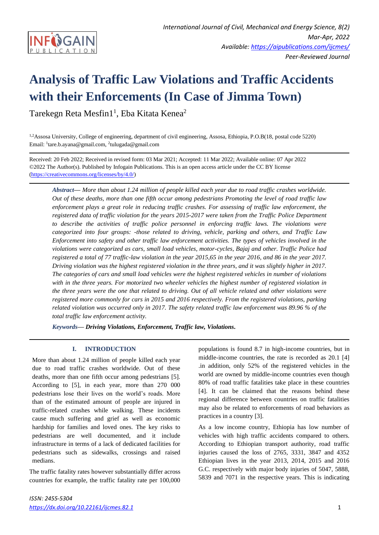

# **Analysis of Traffic Law Violations and Traffic Accidents with their Enforcements (In Case of Jimma Town)**

Tarekegn Reta Mesfin $1^1$ , Eba Kitata Kenea<sup>2</sup>

1,2Assosa University, College of engineering, department of civil engineering, Assosa, Ethiopia, P.O.B(18, postal code 5220) Email: <sup>1</sup> tare.b.ayana@gmail.com, <sup>2</sup> tulugada@gmail.com

Received: 20 Feb 2022; Received in revised form: 03 Mar 2021; Accepted: 11 Mar 2022; Available online: 07 Apr 2022 ©2022 The Author(s). Published by Infogain Publications. This is an open access article under the CC BY license [\(https://creativecommons.org/licenses/by/4.0/\)](https://creativecommons.org/licenses/by/4.0/)

*Abstract***—** *More than about 1.24 million of people killed each year due to road traffic crashes worldwide. Out of these deaths, more than one fifth occur among pedestrians Promoting the level of road traffic law enforcement plays a great role in reducing traffic crashes. For assessing of traffic law enforcement, the registered data of traffic violation for the years 2015-2017 were taken from the Traffic Police Department to describe the activities of traffic police personnel in enforcing traffic laws. The violations were categorized into four groups: -those related to driving, vehicle, parking and others, and Traffic Law Enforcement into safety and other traffic law enforcement activities. The types of vehicles involved in the violations were categorized as cars, small load vehicles, motor-cycles, Bajaj and other. Traffic Police had registered a total of 77 traffic-law violation in the year 2015,65 in the year 2016, and 86 in the year 2017. Driving violation was the highest registered violation in the three years, and it was slightly higher in 2017. The categories of cars and small load vehicles were the highest registered vehicles in number of violations with in the three years. For motorized two wheeler vehicles the highest number of registered violation in the three years were the one that related to driving. Out of all vehicle related and other violations were registered more commonly for cars in 2015 and 2016 respectively. From the registered violations, parking related violation was occurred only in 2017. The safety related traffic law enforcement was 89.96 % of the total traffic law enforcement activity.*

*Keywords***—** *Driving Violations, Enforcement, Traffic law, Violations.*

## **I. INTRODUCTION**

More than about 1.24 million of people killed each year due to road traffic crashes worldwide. Out of these deaths, more than one fifth occur among pedestrians [5]. According to [5], in each year, more than 270 000 pedestrians lose their lives on the world's roads. More than of the estimated amount of people are injured in traffic-related crashes while walking. These incidents cause much suffering and grief as well as economic hardship for families and loved ones. The key risks to pedestrians are well documented, and it include infrastructure in terms of a lack of dedicated facilities for pedestrians such as sidewalks, crossings and raised medians.

The traffic fatality rates however substantially differ across countries for example, the traffic fatality rate per 100,000 populations is found 8.7 in high-income countries, but in middle-income countries, the rate is recorded as 20.1 [4] .in addition, only 52% of the registered vehicles in the world are owned by middle-income countries even though 80% of road traffic fatalities take place in these countries [4]. It can be claimed that the reasons behind these regional difference between countries on traffic fatalities may also be related to enforcements of road behaviors as practices in a country [3].

As a low income country, Ethiopia has low number of vehicles with high traffic accidents compared to others. According to Ethiopian transport authority, road traffic injuries caused the loss of 2765, 3331, 3847 and 4352 Ethiopian lives in the year 2013, 2014, 2015 and 2016 G.C. respectively with major body injuries of 5047, 5888, 5839 and 7071 in the respective years. This is indicating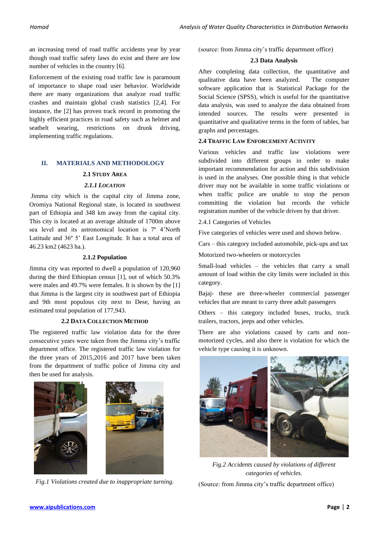an increasing trend of road traffic accidents year by year though road traffic safety laws do exist and there are low number of vehicles in the country [6].

Enforcement of the existing road traffic law is paramount of importance to shape road user behavior. Worldwide there are many organizations that analyze road traffic crashes and maintain global crash statistics [2,4]. For instance, the [2] has proven track record in promoting the highly efficient practices in road safety such as helmet and seatbelt wearing, restrictions on drunk driving, implementing traffic regulations.

## **II. MATERIALS AND METHODOLOGY**

#### **2.1 STUDY AREA**

#### *2.1.1 LOCATION*

Jimma city which is the capital city of Jimma zone, Oromiya National Regional state, is located in southwest part of Ethiopia and 348 km away from the capital city. This city is located at an average altitude of 1700m above sea level and its astronomical location is 7º 4'North Latitude and 36º 5' East Longitude. It has a total area of 46.23 km2 (4623 ha.).

#### **2.1.2 Population**

Jimma city was reported to dwell a population of 120,960 during the third Ethiopian census [1], out of which 50.3% were males and 49.7% were females. It is shown by the [1] that Jimma is the largest city in southwest part of Ethiopia and 9th most populous city next to Dese, having an estimated total population of 177,943.

#### **2.2 DATA COLLECTION METHOD**

The registered traffic law violation data for the three consecutive years were taken from the Jimma city's traffic department office. The registered traffic law violation for the three years of 2015,2016 and 2017 have been taken from the department of traffic police of Jimma city and then be used for analysis.



*Fig.1 Violations created due to inappropriate turning.*

(source: from Jimma city's traffic department office)

#### **2.3 Data Analysis**

After completing data collection, the quantitative and qualitative data have been analyzed. The computer software application that is Statistical Package for the Social Science (SPSS), which is useful for the quantitative data analysis, was used to analyze the data obtained from intended sources. The results were presented in quantitative and qualitative terms in the form of tables, bar graphs and percentages.

### **2.4 TRAFFIC LAW ENFORCEMENT ACTIVITY**

Various vehicles and traffic law violations were subdivided into different groups in order to make important recommendation for action and this subdivision is used in the analyses. One possible thing is that vehicle driver may not be available in some traffic violations or when traffic police are unable to stop the person committing the violation but records the vehicle registration number of the vehicle driven by that driver.

2.4.1 Categories of Vehicles

Five categories of vehicles were used and shown below.

Cars – this category included automobile, pick-ups and tax

Motorized two-wheelers or motorcycles

Small-load vehicles – the vehicles that carry a small amount of load within the city limits were included in this category.

Bajaj- these are three-wheeler commercial passenger vehicles that are meant to carry three adult passengers

Others – this category included buses, trucks, truck trailers, tractors, jeeps and other vehicles.

There are also violations caused by carts and nonmotorized cycles, and also there is violation for which the vehicle type causing it is unknown.



*Fig.2 Accidents caused by violations of different categories of vehicles.*

(Source: from Jimma city's traffic department office)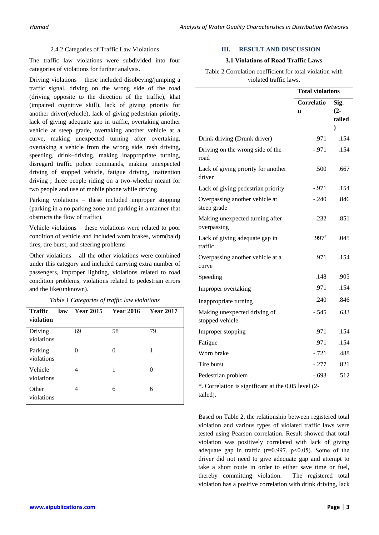#### 2.4.2 Categories of Traffic Law Violations

The traffic law violations were subdivided into four categories of violations for further analysis.

Driving violations – these included disobeying/jumping a traffic signal, driving on the wrong side of the road (driving opposite to the direction of the traffic), khat (impaired cognitive skill), lack of giving priority for another driver(vehicle), lack of giving pedestrian priority, lack of giving adequate gap in traffic, overtaking another vehicle at steep grade, overtaking another vehicle at a curve, making unexpected turning after overtaking, overtaking a vehicle from the wrong side, rash driving, speeding, drink–driving, making inappropriate turning, disregard traffic police commands, making unexpected driving of stopped vehicle, fatigue driving, inattention driving , three people riding on a two-wheeler meant for two people and use of mobile phone while driving.

Parking violations – these included improper stopping (parking in a no parking zone and parking in a manner that obstructs the flow of traffic).

Vehicle violations – these violations were related to poor condition of vehicle and included worn brakes, worn(bald) tires, tire burst, and steering problems

Other violations – all the other violations were combined under this category and included carrying extra number of passengers, improper lighting, violations related to road condition problems, violations related to pedestrian errors and the like(unknown).

| Table 1 Categories of traffic law violations |  |  |  |  |  |
|----------------------------------------------|--|--|--|--|--|
|----------------------------------------------|--|--|--|--|--|

| <b>Traffic</b><br>violation | law | <b>Year 2015</b> | <b>Year 2016</b> | <b>Year 2017</b> |
|-----------------------------|-----|------------------|------------------|------------------|
| Driving<br>violations       |     | 69               | 58               | 79               |
| Parking<br>violations       |     | $\Omega$         | 0                |                  |
| Vehicle<br>violations       |     | 4                | 1                |                  |
| Other<br>violations         |     | 4                | 6                | 6                |

#### **III. RESULT AND DISCUSSION**

#### **3.1 Violations of Road Traffic Laws**

Table 2 Correlation coefficient for total violation with violated traffic laws.

|                                                                 | <b>Total violations</b> |        |
|-----------------------------------------------------------------|-------------------------|--------|
|                                                                 | <b>Correlatio</b>       | Sig.   |
|                                                                 | $\mathbf n$             | $(2 -$ |
|                                                                 |                         | tailed |
|                                                                 |                         | ⟩      |
| Drink driving (Drunk driver)                                    | .971                    | .154   |
| Driving on the wrong side of the<br>road                        | $-971$                  | .154   |
| Lack of giving priority for another<br>driver                   | .500                    | .667   |
| Lack of giving pedestrian priority                              | $-971$                  | .154   |
| Overpassing another vehicle at<br>steep grade                   | $-.240$                 | .846   |
| Making unexpected turning after<br>overpassing                  | $-.232$                 | .851   |
| Lack of giving adequate gap in<br>traffic                       | $.997*$                 | .045   |
| Overpassing another vehicle at a<br>curve                       | .971                    | .154   |
| Speeding                                                        | .148                    | .905   |
| Improper overtaking                                             | .971                    | .154   |
| Inappropriate turning                                           | .240                    | .846   |
| Making unexpected driving of<br>stopped vehicle                 | $-.545$                 | .633   |
| Improper stopping                                               | .971                    | .154   |
| Fatigue                                                         | .971                    | .154   |
| Worn brake                                                      | $-.721$                 | .488   |
| Tire burst                                                      | $-.277$                 | .821   |
| Pedestrian problem                                              | $-.693$                 | .512   |
| *. Correlation is significant at the 0.05 level (2-<br>tailed). |                         |        |

Based on Table 2, the relationship between registered total violation and various types of violated traffic laws were tested using Pearson correlation. Result showed that total violation was positively correlated with lack of giving adequate gap in traffic ( $r=0.997$ ,  $p<0.05$ ). Some of the driver did not need to give adequate gap and attempt to take a short route in order to either save time or fuel, thereby committing violation. The registered total violation has a positive correlation with drink driving, lack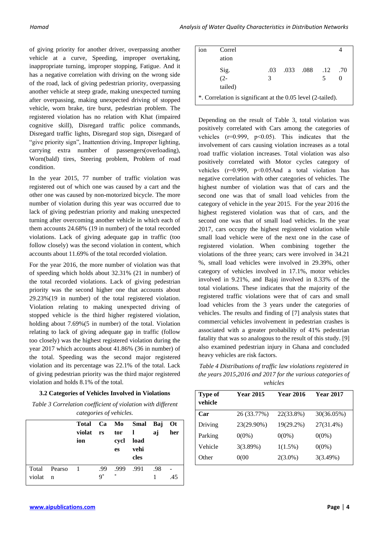of giving priority for another driver, overpassing another vehicle at a curve, Speeding, improper overtaking, inappropriate turning, improper stopping, Fatigue. And it has a negative correlation with driving on the wrong side of the road, lack of giving pedestrian priority, overpassing another vehicle at steep grade, making unexpected turning after overpassing, making unexpected driving of stopped vehicle, worn brake, tire burst, pedestrian problem. The registered violation has no relation with Khat (impaired cognitive skill), Disregard traffic police commands, Disregard traffic lights, Disregard stop sign, Disregard of "give priority sign", Inattention driving, Improper lighting, carrying extra number of passengers(overloading), Worn(bald) tires, Steering problem, Problem of road condition.

In the year 2015, 77 number of traffic violation was registered out of which one was caused by a cart and the other one was caused by non-motorized bicycle. The more number of violation during this year was occurred due to lack of giving pedestrian priority and making unexpected turning after overcoming another vehicle in which each of them accounts 24.68% (19 in number) of the total recorded violations. Lack of giving adequate gap in traffic (too follow closely) was the second violation in content, which accounts about 11.69% of the total recorded violation.

For the year 2016, the more number of violation was that of speeding which holds about 32.31% (21 in number) of the total recorded violations. Lack of giving pedestrian priority was the second higher one that accounts about 29.23%(19 in number) of the total registered violation. Violation relating to making unexpected driving of stopped vehicle is the third higher registered violation, holding about 7.69%(5 in number) of the total. Violation relating to lack of giving adequate gap in traffic (follow too closely) was the highest registered violation during the year 2017 which accounts about 41.86% (36 in number) of the total. Speeding was the second major registered violation and its percentage was 22.1% of the total. Lack of giving pedestrian priority was the third major registered violation and holds 8.1% of the total.

## **3.2 Categories of Vehicles Involved in Violations**

*Table 3 Correlation coefficient of violation with different categories of vehicles.*

|        |              | Total Ca Mo<br>violat rs<br>ion |       | tor 1<br>cycl<br>es | Smal Baj<br>load<br>vehi<br>cles | aj  | <b>Ot</b><br>her |
|--------|--------------|---------------------------------|-------|---------------------|----------------------------------|-----|------------------|
|        | Total Pearso | -1                              | .99   | .999                | .991                             | .98 |                  |
| violat | $\mathbf n$  |                                 | $9^*$ | *                   |                                  |     | .45              |

| 10n                                                         | Correl  |     |  |           |     |     |  |
|-------------------------------------------------------------|---------|-----|--|-----------|-----|-----|--|
|                                                             | ation   |     |  |           |     |     |  |
|                                                             | Sig.    | .03 |  | .033 .088 | .12 | .70 |  |
|                                                             | $(2 -$  | 3   |  |           |     |     |  |
|                                                             | tailed) |     |  |           |     |     |  |
| *. Correlation is significant at the 0.05 level (2-tailed). |         |     |  |           |     |     |  |

Depending on the result of Table 3, total violation was positively correlated with Cars among the categories of vehicles  $(r=0.999, p<0.05)$ . This indicates that the involvement of cars causing violation increases as a total road traffic violation increases. Total violation was also positively correlated with Motor cycles category of vehicles (r=0.999, p˂0.05And a total violation has negative correlation with other categories of vehicles. The highest number of violation was that of cars and the second one was that of small load vehicles from the category of vehicle in the year 2015. For the year 2016 the highest registered violation was that of cars, and the second one was that of small load vehicles. In the year 2017, cars occupy the highest registered violation while small load vehicle were of the next one in the case of registered violation. When combining together the violations of the three years; cars were involved in 34.21 %, small load vehicles were involved in 29.39%, other category of vehicles involved in 17.1%, motor vehicles involved in 9.21%, and Bajaj involved in 8.33% of the total violations. These indicates that the majority of the registered traffic violations were that of cars and small load vehicles from the 3 years under the categories of vehicles. The results and finding of [7] analysis states that commercial vehicles involvement in pedestrian crashes is associated with a greater probability of 41% pedestrian fatality that was so analogous to the result of this study. [9] also examined pedestrian injury in Ghana and concluded heavy vehicles are risk factors.

*Table 4 Distributions of traffic law violations registered in the years 2015,2016 and 2017 for the various categories of vehicles*

| Type of<br>vehicle | <b>Year 2015</b> | <b>Year 2016</b> | <b>Year 2017</b> |
|--------------------|------------------|------------------|------------------|
| Car                | 26 (33.77%)      | 22(33.8%)        | 30(36.05%)       |
| Driving            | 23(29.90%)       | 19(29.2%)        | 27(31.4%)        |
| Parking            | $0(0\%)$         | $0(0\%)$         | $0(0\%)$         |
| Vehicle            | 3(3.89%)         | $1(1.5\%)$       | $0(0\%)$         |
| Other              | 0(00)            | $2(3.0\%)$       | 3(3.49%)         |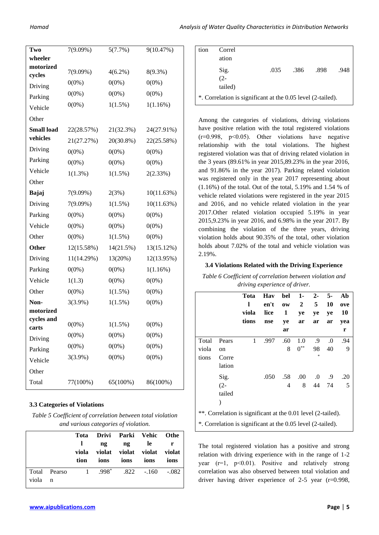| Two                 | $7(9.09\%)$ | 5(7.7%)    | 9(10.47%)  |
|---------------------|-------------|------------|------------|
| wheeler             |             |            |            |
| motorized<br>cycles | 7(9.09%)    | $4(6.2\%)$ | 8(9.3%)    |
| Driving             | $0(0\%)$    | $0(0\%)$   | $0(0\%)$   |
| Parking             | $0(0\%)$    | $0(0\%)$   | $0(0\%)$   |
| Vehicle             | $0(0\%)$    | 1(1.5%)    | 1(1.16%)   |
| Other               |             |            |            |
| <b>Small load</b>   | 22(28.57%)  | 21(32.3%)  | 24(27.91%) |
| vehicles            | 21(27.27%)  | 20(30.8%)  | 22(25.58%) |
| Driving             | $0(0\%)$    | $0(0\%)$   | $0(0\%)$   |
| Parking             | $0(0\%)$    | $0(0\%)$   | $0(0\%)$   |
| Vehicle             | 1(1.3%)     | $1(1.5\%)$ | 2(2.33%)   |
| Other               |             |            |            |
| Bajaj               | $7(9.09\%)$ | 2(3%)      | 10(11.63%) |
| Driving             | 7(9.09%)    | 1(1.5%)    | 10(11.63%) |
| Parking             | $0(0\%)$    | $0(0\%)$   | $0(0\%)$   |
| Vehicle             | $0(0\%)$    | $0(0\%)$   | $0(0\%)$   |
| Other               | $0(0\%)$    | 1(1.5%)    | $0(0\%)$   |
| Other               | 12(15.58%)  | 14(21.5%)  | 13(15.12%) |
| Driving             | 11(14.29%)  | 13(20%)    | 12(13.95%) |
| Parking             | $0(0\%)$    | $0(0\%)$   | 1(1.16%)   |
| Vehicle             | 1(1.3)      | $0(0\%)$   | $0(0\%)$   |
| Other               | $0(0\%)$    | $1(1.5\%)$ | $0(0\%)$   |
| Non-                | $3(3.9\%)$  | 1(1.5%)    | $0(0\%)$   |
| motorized           |             |            |            |
| cycles and<br>carts | $0(0\%)$    | 1(1.5%)    | $0(0\%)$   |
| Driving             | $0(0\%)$    | $0(0\%)$   | $0(0\%)$   |
| Parking             | $0(0\%)$    | $0(0\%)$   | $0(0\%)$   |
| Vehicle             | $3(3.9\%)$  | $0(0\%)$   | $0(0\%)$   |
| Other               |             |            |            |
| Total               | 77(100%)    | 65(100%)   | 86(100%)   |
|                     |             |            |            |

## **3.3 Categories of Violations**

*Table 5 Coefficient of correlation between total violation and various categories of violation.*

| tion |  | ions                                                                                                                                                  |
|------|--|-------------------------------------------------------------------------------------------------------------------------------------------------------|
|      |  |                                                                                                                                                       |
|      |  | Tota Drivi Parki Vehic Othe<br>ng ng le r<br>viola violat violat violat violat<br>ions ions ions<br>Total Pearso 1 .998 <sup>*</sup> .822 -.160 -.082 |

| tion                                                        | Correl<br>ation           |      |      |      |      |  |
|-------------------------------------------------------------|---------------------------|------|------|------|------|--|
|                                                             | Sig.<br>$(2 -$<br>tailed) | .035 | .386 | .898 | .948 |  |
| *. Correlation is significant at the 0.05 level (2-tailed). |                           |      |      |      |      |  |

Among the categories of violations, driving violations have positive relation with the total registered violations  $(r=0.998, p<0.05)$ . Other violations have negative relationship with the total violations. The highest registered violation was that of driving related violation in the 3 years (89.61% in year 2015,89.23% in the year 2016, and 91.86% in the year 2017). Parking related violation was registered only in the year 2017 representing about (1.16%) of the total. Out of the total, 5.19% and 1.54 % of vehicle related violations were registered in the year 2015 and 2016, and no vehicle related violation in the year 2017.Other related violation occupied 5.19% in year 2015,9.23% in year 2016, and 6.98% in the year 2017. By combining the violation of the three years, driving violation holds about 90.35% of the total, other violation holds about 7.02% of the total and vehicle violation was 2.19%.

## **3.4 Violations Related with the Driving Experience**

*Table 6 Coefficient of correlation between violation and driving experience of driver.*

|                                                                                                                             |                                           | Tota<br>l<br>viola<br>tions | Hav<br>en't<br>lice<br>nse | bel<br>$\mathbf{0}\mathbf{W}$<br>1<br>ye<br>ar | 1-<br>2<br>ye<br>ar   | $2 -$<br>5<br>ye<br>ar | $5-$<br>10<br>ye<br>ar | Ab<br>ove<br>10<br>yea<br>r |
|-----------------------------------------------------------------------------------------------------------------------------|-------------------------------------------|-----------------------------|----------------------------|------------------------------------------------|-----------------------|------------------------|------------------------|-----------------------------|
| Total<br>viola<br>tions                                                                                                     | Pears<br>on<br>Corre<br>lation            | 1                           | .997                       | .60<br>8                                       | 1.0<br>$0^{\ast\ast}$ | .9<br>98<br>*          | $\cdot 0$<br>40        | .94<br>9                    |
|                                                                                                                             | Sig.<br>$(2 -$<br>tailed<br>$\mathcal{E}$ |                             | .050                       | .58<br>4                                       | .00.<br>8             | $\cdot$<br>44          | .9<br>74               | .20<br>5                    |
| **. Correlation is significant at the 0.01 level (2-tailed).<br>*. Correlation is significant at the 0.05 level (2-tailed). |                                           |                             |                            |                                                |                       |                        |                        |                             |

The total registered violation has a positive and strong relation with driving experience with in the range of 1-2 year  $(r=1, p<0.01)$ . Positive and relatively strong correlation was also observed between total violation and driver having driver experience of 2-5 year (r=0.998,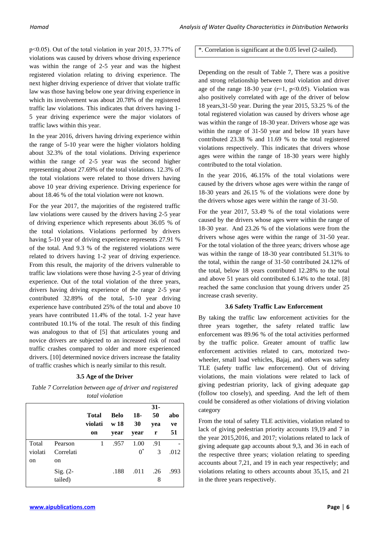p˂0.05). Out of the total violation in year 2015, 33.77% of violations was caused by drivers whose driving experience was within the range of 2-5 year and was the highest registered violation relating to driving experience. The next higher driving experience of driver that violate traffic law was those having below one year driving experience in which its involvement was about 20.78% of the registered traffic law violations. This indicates that drivers having 1- 5 year driving experience were the major violators of traffic laws within this year.

In the year 2016, drivers having driving experience within the range of 5-10 year were the higher violators holding about 32.3% of the total violations. Driving experience within the range of 2-5 year was the second higher representing about 27.69% of the total violations. 12.3% of the total violations were related to those drivers having above 10 year driving experience. Driving experience for about 18.46 % of the total violation were not known.

For the year 2017, the majorities of the registered traffic law violations were caused by the drivers having 2-5 year of driving experience which represents about 36.05 % of the total violations. Violations performed by drivers having 5-10 year of driving experience represents 27.91 % of the total. And 9.3 % of the registered violations were related to drivers having 1-2 year of driving experience. From this result, the majority of the drivers vulnerable to traffic law violations were those having 2-5 year of driving experience. Out of the total violation of the three years, drivers having driving experience of the range 2-5 year contributed 32.89% of the total, 5-10 year driving experience have contributed 25% of the total and above 10 years have contributed 11.4% of the total. 1-2 year have contributed 10.1% of the total. The result of this finding was analogous to that of [5] that articulates young and novice drivers are subjected to an increased risk of road traffic crashes compared to older and more experienced drivers. [10] determined novice drivers increase the fatality of traffic crashes which is nearly similar to this result.

### **3.5 Age of the Driver**

*Table 7 Correlation between age of driver and registered total violation*

|               |                       | Total<br>violati<br>on | Belo<br>w 18<br>year | 18-<br>30<br>year | $31-$<br>50<br>yea<br>r | abo<br>ve<br>51 |
|---------------|-----------------------|------------------------|----------------------|-------------------|-------------------------|-----------------|
| Total         | Pearson               | 1                      | .957                 | 1.00              | .91                     |                 |
| violati       | Correlati             |                        |                      | $0^*$             | 3                       | .012            |
| <sub>on</sub> | on                    |                        |                      |                   |                         |                 |
|               | $Sig. (2-$<br>tailed) |                        | .188                 | .011              | .26<br>8                | .993            |

## \*. Correlation is significant at the 0.05 level (2-tailed).

Depending on the result of Table 7, There was a positive and strong relationship between total violation and driver age of the range 18-30 year ( $r=1$ ,  $p<0.05$ ). Violation was also positively correlated with age of the driver of below 18 years,31-50 year. During the year 2015, 53.25 % of the total registered violation was caused by drivers whose age was within the range of 18-30 year. Drivers whose age was within the range of 31-50 year and below 18 years have contributed 23.38 % and 11.69 % to the total registered violations respectively. This indicates that drivers whose ages were within the range of 18-30 years were highly contributed to the total violation.

In the year 2016, 46.15% of the total violations were caused by the drivers whose ages were within the range of 18-30 years and 26.15 % of the violations were done by the drivers whose ages were within the range of 31-50.

For the year 2017, 53.49 % of the total violations were caused by the drivers whose ages were within the range of 18-30 year. And 23.26 % of the violations were from the drivers whose ages were within the range of 31-50 year. For the total violation of the three years; drivers whose age was within the range of 18-30 year contributed 51.31% to the total, within the range of 31-50 contributed 24.12% of the total, below 18 years contributed 12.28% to the total and above 51 years old contributed 6.14% to the total. [8] reached the same conclusion that young drivers under 25 increase crash severity.

### **3.6 Safety Traffic Law Enforcement**

By taking the traffic law enforcement activities for the three years together, the safety related traffic law enforcement was 89.96 % of the total activities performed by the traffic police. Greater amount of traffic law enforcement activities related to cars, motorized twowheeler, small load vehicles, Bajaj, and others was safety TLE (safety traffic law enforcement). Out of driving violations, the main violations were related to lack of giving pedestrian priority, lack of giving adequate gap (follow too closely), and speeding. And the left of them could be considered as other violations of driving violation category

From the total of safety TLE activities, violation related to lack of giving pedestrian priority accounts 19,19 and 7 in the year 2015,2016, and 2017; violations related to lack of giving adequate gap accounts about 9,3, and 36 in each of the respective three years; violation relating to speeding accounts about 7,21, and 19 in each year respectively; and violations relating to others accounts about 35,15, and 21 in the three years respectively.